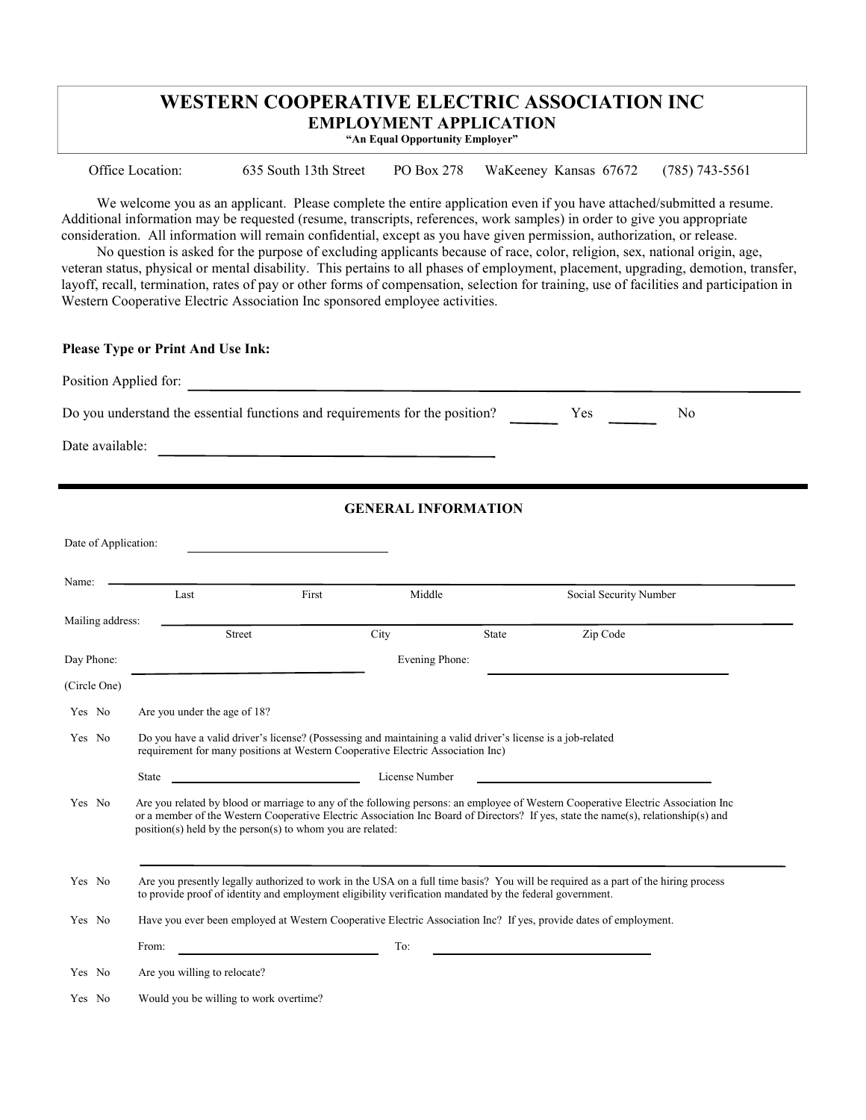## WESTERN COOPERATIVE ELECTRIC ASSOCIATION INC EMPLOYMENT APPLICATION

"An Equal Opportunity Employer"

Office Location: 635 South 13th Street PO Box 278 WaKeeney Kansas 67672 (785) 743-5561

 We welcome you as an applicant. Please complete the entire application even if you have attached/submitted a resume. Additional information may be requested (resume, transcripts, references, work samples) in order to give you appropriate consideration. All information will remain confidential, except as you have given permission, authorization, or release.

 No question is asked for the purpose of excluding applicants because of race, color, religion, sex, national origin, age, veteran status, physical or mental disability. This pertains to all phases of employment, placement, upgrading, demotion, transfer, layoff, recall, termination, rates of pay or other forms of compensation, selection for training, use of facilities and participation in Western Cooperative Electric Association Inc sponsored employee activities.

|            |                      | <b>Please Type or Print And Use Ink:</b>                                                                                                                                                                                      |       |                            |       |                                                                                                                                                                                                                                                                         |  |
|------------|----------------------|-------------------------------------------------------------------------------------------------------------------------------------------------------------------------------------------------------------------------------|-------|----------------------------|-------|-------------------------------------------------------------------------------------------------------------------------------------------------------------------------------------------------------------------------------------------------------------------------|--|
|            |                      | Position Applied for:                                                                                                                                                                                                         |       |                            |       |                                                                                                                                                                                                                                                                         |  |
|            |                      | Do you understand the essential functions and requirements for the position?                                                                                                                                                  |       |                            |       | Yes<br>No                                                                                                                                                                                                                                                               |  |
|            | Date available:      |                                                                                                                                                                                                                               |       |                            |       |                                                                                                                                                                                                                                                                         |  |
|            |                      |                                                                                                                                                                                                                               |       |                            |       |                                                                                                                                                                                                                                                                         |  |
|            |                      |                                                                                                                                                                                                                               |       | <b>GENERAL INFORMATION</b> |       |                                                                                                                                                                                                                                                                         |  |
|            | Date of Application: |                                                                                                                                                                                                                               |       |                            |       |                                                                                                                                                                                                                                                                         |  |
| Name:      |                      |                                                                                                                                                                                                                               |       |                            |       |                                                                                                                                                                                                                                                                         |  |
|            |                      | Last                                                                                                                                                                                                                          | First | Middle                     |       | Social Security Number                                                                                                                                                                                                                                                  |  |
|            | Mailing address:     | Street                                                                                                                                                                                                                        |       | City                       | State | Zip Code                                                                                                                                                                                                                                                                |  |
| Day Phone: |                      |                                                                                                                                                                                                                               |       | Evening Phone:             |       |                                                                                                                                                                                                                                                                         |  |
|            | (Circle One)         |                                                                                                                                                                                                                               |       |                            |       |                                                                                                                                                                                                                                                                         |  |
| Yes No     |                      | Are you under the age of 18?                                                                                                                                                                                                  |       |                            |       |                                                                                                                                                                                                                                                                         |  |
| Yes No     |                      | Do you have a valid driver's license? (Possessing and maintaining a valid driver's license is a job-related<br>requirement for many positions at Western Cooperative Electric Association Inc)                                |       |                            |       |                                                                                                                                                                                                                                                                         |  |
|            |                      | State and the state of the state of the state of the state of the state of the state of the state of the state of the state of the state of the state of the state of the state of the state of the state of the state of the |       | License Number             |       |                                                                                                                                                                                                                                                                         |  |
| Yes No     |                      | $position(s)$ held by the $person(s)$ to whom you are related:                                                                                                                                                                |       |                            |       | Are you related by blood or marriage to any of the following persons: an employee of Western Cooperative Electric Association Inc<br>or a member of the Western Cooperative Electric Association Inc Board of Directors? If yes, state the name(s), relationship(s) and |  |
| Yes No     |                      | to provide proof of identity and employment eligibility verification mandated by the federal government.                                                                                                                      |       |                            |       | Are you presently legally authorized to work in the USA on a full time basis? You will be required as a part of the hiring process                                                                                                                                      |  |
| Yes No     |                      |                                                                                                                                                                                                                               |       |                            |       | Have you ever been employed at Western Cooperative Electric Association Inc? If yes, provide dates of employment.                                                                                                                                                       |  |
|            |                      | From:                                                                                                                                                                                                                         |       | To:                        |       |                                                                                                                                                                                                                                                                         |  |
| Yes No     |                      | Are you willing to relocate?                                                                                                                                                                                                  |       |                            |       |                                                                                                                                                                                                                                                                         |  |
| Yes No     |                      | Would you be willing to work overtime?                                                                                                                                                                                        |       |                            |       |                                                                                                                                                                                                                                                                         |  |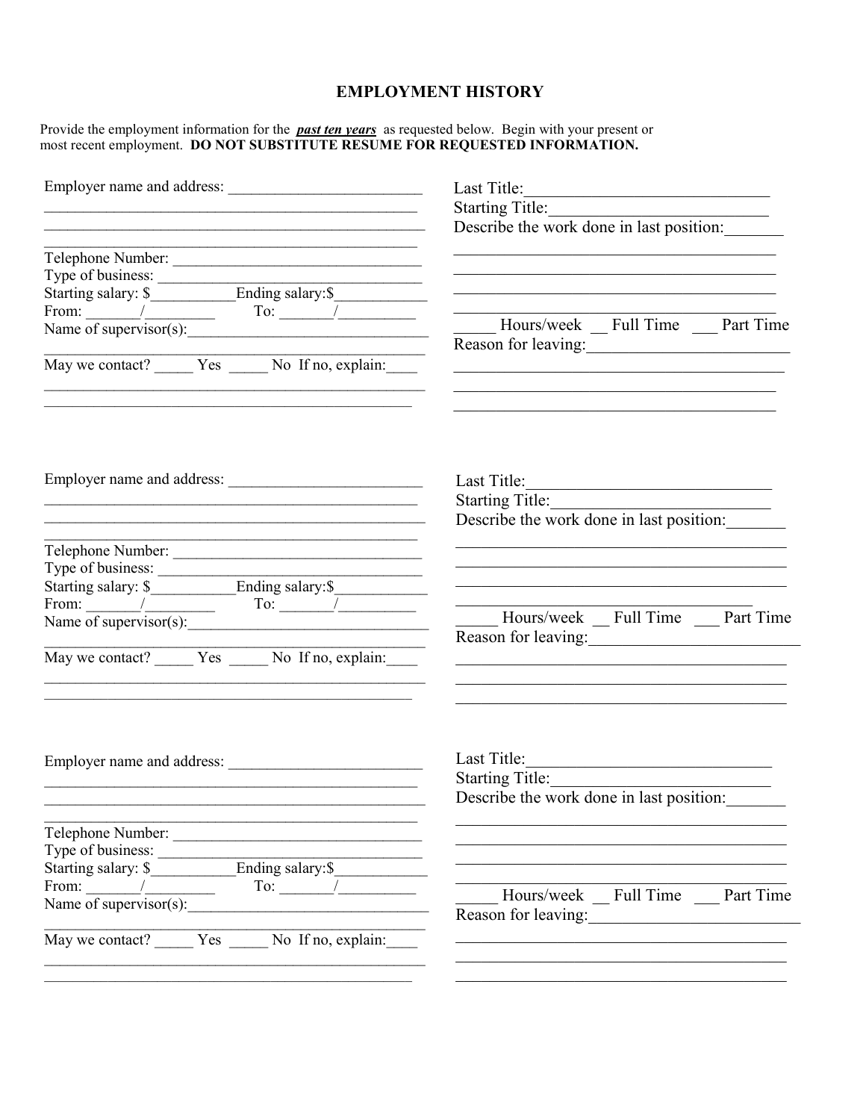### **EMPLOYMENT HISTORY**

Provide the employment information for the **past ten years** as requested below. Begin with your present or most recent employment. **DO NOT SUBSTITUTE RESUME FOR REQUESTED INFORMATION.** 

|                                                                                                                                                                                                                                                                                                                                                                                                                                                                                                                                                                                                                                           | Last Title:                                                                                                                                                                                                                                                                                                                                                                                                                                                   |
|-------------------------------------------------------------------------------------------------------------------------------------------------------------------------------------------------------------------------------------------------------------------------------------------------------------------------------------------------------------------------------------------------------------------------------------------------------------------------------------------------------------------------------------------------------------------------------------------------------------------------------------------|---------------------------------------------------------------------------------------------------------------------------------------------------------------------------------------------------------------------------------------------------------------------------------------------------------------------------------------------------------------------------------------------------------------------------------------------------------------|
|                                                                                                                                                                                                                                                                                                                                                                                                                                                                                                                                                                                                                                           |                                                                                                                                                                                                                                                                                                                                                                                                                                                               |
|                                                                                                                                                                                                                                                                                                                                                                                                                                                                                                                                                                                                                                           | Starting Title:<br>Describe the work done in last position:                                                                                                                                                                                                                                                                                                                                                                                                   |
| <u> 1989 - Johann Stoff, Amerikaansk politiker (* 1908)</u>                                                                                                                                                                                                                                                                                                                                                                                                                                                                                                                                                                               |                                                                                                                                                                                                                                                                                                                                                                                                                                                               |
| Telephone Number:                                                                                                                                                                                                                                                                                                                                                                                                                                                                                                                                                                                                                         | <u> 1989 - Johann John Stoff, deutscher Stoffen und der Stoffen und der Stoffen und der Stoffen und der Stoffen un</u>                                                                                                                                                                                                                                                                                                                                        |
|                                                                                                                                                                                                                                                                                                                                                                                                                                                                                                                                                                                                                                           | <u> 1989 - Johann Stoff, amerikansk politiker (d. 1989)</u>                                                                                                                                                                                                                                                                                                                                                                                                   |
|                                                                                                                                                                                                                                                                                                                                                                                                                                                                                                                                                                                                                                           |                                                                                                                                                                                                                                                                                                                                                                                                                                                               |
| From: $\frac{1}{\text{Name of supervisor(s):}}$ To: $\frac{1}{\text{Name of } \text{Supervised(s):}}$                                                                                                                                                                                                                                                                                                                                                                                                                                                                                                                                     | Hours/week Full Time Part Time                                                                                                                                                                                                                                                                                                                                                                                                                                |
|                                                                                                                                                                                                                                                                                                                                                                                                                                                                                                                                                                                                                                           | Reason for leaving:                                                                                                                                                                                                                                                                                                                                                                                                                                           |
| May we contact? _______ Yes ______ No If no, explain: _____                                                                                                                                                                                                                                                                                                                                                                                                                                                                                                                                                                               | <u> 1989 - Johann Barbara, martxa alemaniar amerikan a</u>                                                                                                                                                                                                                                                                                                                                                                                                    |
| the control of the control of the control of the control of the control of the control of the control of the control of the control of the control of the control of the control of the control of the control of the control<br>the control of the control of the control of the control of the control of the control of the control of the control of the control of the control of the control of the control of the control of the control of the control<br>Telephone Number:<br>Type of business:<br>From: $\frac{1}{\sqrt{2\pi}}$ To: $\frac{1}{\sqrt{2\pi}}$<br>Name of supervisor(s):<br>May we contact? Yes No If no, explain: | <u> 1989 - Johann Stoff, amerikansk politiker (d. 1989)</u><br>Last Title:<br>Describe the work done in last position:<br><u> 1989 - Johann Stoff, amerikansk politiker (d. 1989)</u><br><u> 1989 - Johann John Stone, mars eta bainar eta politikaria (h. 1908).</u><br>Hours/week __ Full Time ___ Part Time<br>Reason for leaving:<br><u> 1989 - Johann Stein, mars an deutscher Stein und der Stein und der Stein und der Stein und der Stein und der</u> |
|                                                                                                                                                                                                                                                                                                                                                                                                                                                                                                                                                                                                                                           | Last Title:<br>Starting Title:<br>Describe the work done in last position:                                                                                                                                                                                                                                                                                                                                                                                    |
| Telephone Number:                                                                                                                                                                                                                                                                                                                                                                                                                                                                                                                                                                                                                         |                                                                                                                                                                                                                                                                                                                                                                                                                                                               |
| Type of business:                                                                                                                                                                                                                                                                                                                                                                                                                                                                                                                                                                                                                         |                                                                                                                                                                                                                                                                                                                                                                                                                                                               |
| Starting salary: \$                                                                                                                                                                                                                                                                                                                                                                                                                                                                                                                                                                                                                       |                                                                                                                                                                                                                                                                                                                                                                                                                                                               |
| From: $\_\_\_\_\_\_\_\_\_\_\_\_\_\_$<br>Name of supervisor(s):                                                                                                                                                                                                                                                                                                                                                                                                                                                                                                                                                                            | Hours/week __ Full Time ___ Part Time<br>Reason for leaving:                                                                                                                                                                                                                                                                                                                                                                                                  |
| May we contact? ________ Yes _______ No If no, explain: _____                                                                                                                                                                                                                                                                                                                                                                                                                                                                                                                                                                             |                                                                                                                                                                                                                                                                                                                                                                                                                                                               |
|                                                                                                                                                                                                                                                                                                                                                                                                                                                                                                                                                                                                                                           |                                                                                                                                                                                                                                                                                                                                                                                                                                                               |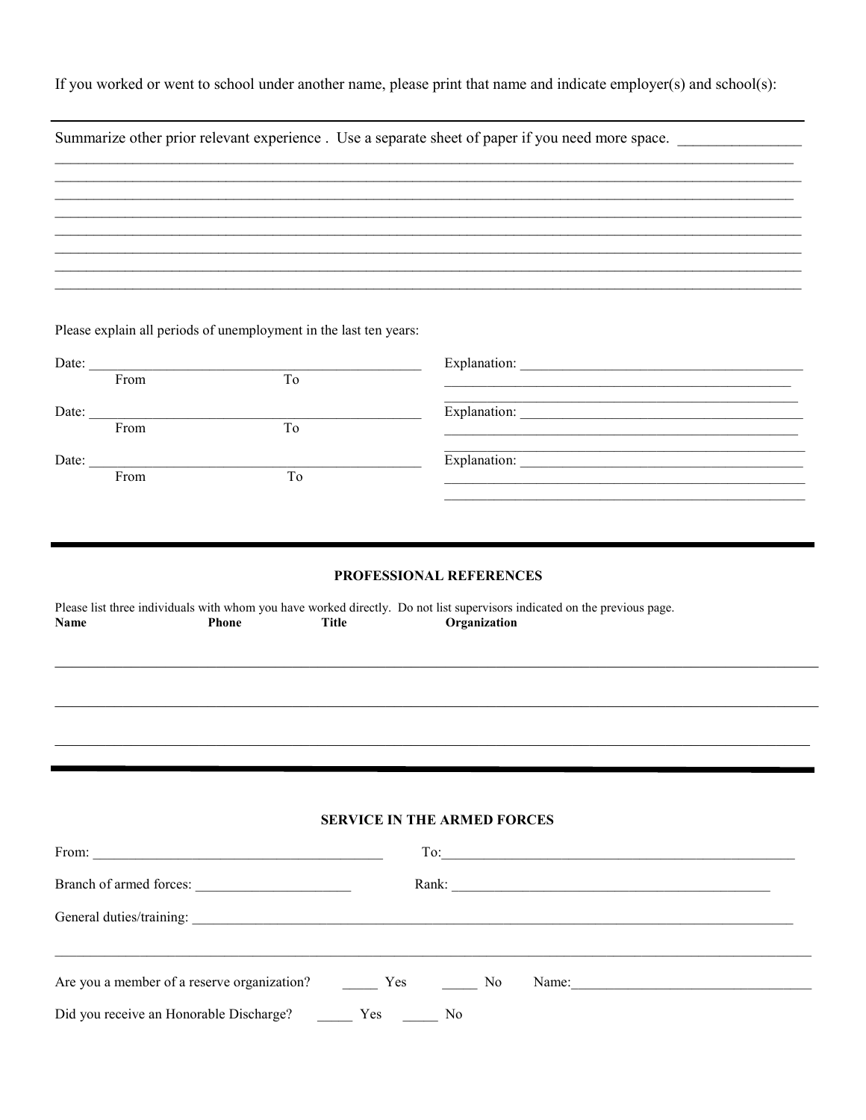If you worked or went to school under another name, please print that name and indicate employer(s) and school(s):

|                                |                                                                   | Summarize other prior relevant experience. Use a separate sheet of paper if you need more space.                                                                                                                               |
|--------------------------------|-------------------------------------------------------------------|--------------------------------------------------------------------------------------------------------------------------------------------------------------------------------------------------------------------------------|
|                                |                                                                   |                                                                                                                                                                                                                                |
|                                |                                                                   |                                                                                                                                                                                                                                |
|                                |                                                                   |                                                                                                                                                                                                                                |
|                                |                                                                   |                                                                                                                                                                                                                                |
|                                |                                                                   |                                                                                                                                                                                                                                |
|                                | Please explain all periods of unemployment in the last ten years: |                                                                                                                                                                                                                                |
|                                |                                                                   |                                                                                                                                                                                                                                |
| Date: From                     | $\overline{To}$                                                   |                                                                                                                                                                                                                                |
| Date: $\overline{\phantom{a}}$ |                                                                   |                                                                                                                                                                                                                                |
| From                           | To                                                                |                                                                                                                                                                                                                                |
| Date: $\overline{\phantom{a}}$ |                                                                   |                                                                                                                                                                                                                                |
| From                           | To                                                                |                                                                                                                                                                                                                                |
|                                |                                                                   |                                                                                                                                                                                                                                |
| Name                           | Phone<br><b>Title</b>                                             | Organization                                                                                                                                                                                                                   |
|                                |                                                                   |                                                                                                                                                                                                                                |
|                                |                                                                   |                                                                                                                                                                                                                                |
|                                |                                                                   | <b>SERVICE IN THE ARMED FORCES</b>                                                                                                                                                                                             |
|                                |                                                                   |                                                                                                                                                                                                                                |
| Branch of armed forces:        |                                                                   |                                                                                                                                                                                                                                |
|                                |                                                                   |                                                                                                                                                                                                                                |
|                                |                                                                   |                                                                                                                                                                                                                                |
|                                |                                                                   |                                                                                                                                                                                                                                |
|                                |                                                                   |                                                                                                                                                                                                                                |
|                                |                                                                   | Are you a member of a reserve organization?<br>Yes  Mo Name: Mo Name: Mo Name: Mo Name: Mo Name: Mo Name: Mo Name: Mo Name: Mo Name: Mo Name: Mo Name: Mo Name: Mo Name: Mo Name: Mo Name: Mo Name: Mo Name: Mo Name: Mo Name: |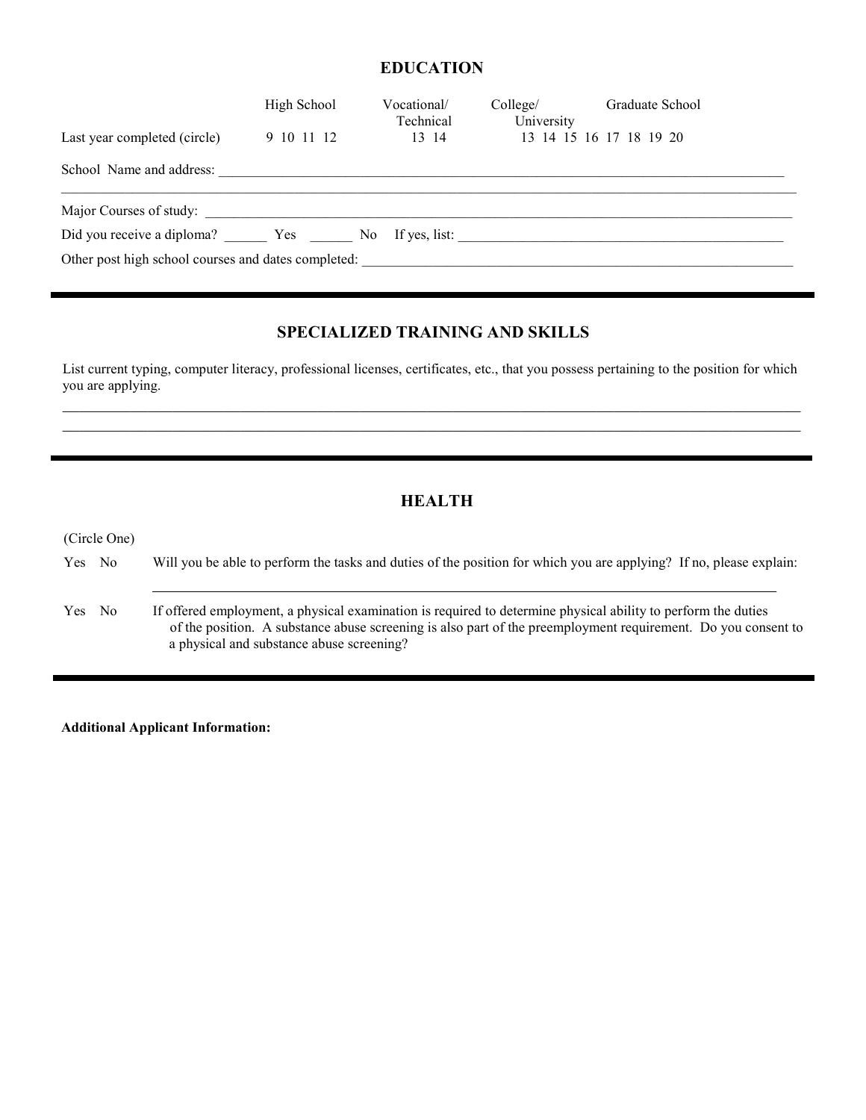### EDUCATION

| Last year completed (circle)                        | High School<br>9 10 11 12 | Vocational/<br>Technical | Collect<br>University<br>13 14 | Graduate School<br>13 14 15 16 17 18 19 20 |
|-----------------------------------------------------|---------------------------|--------------------------|--------------------------------|--------------------------------------------|
| School Name and address:                            |                           |                          |                                |                                            |
| Major Courses of study:                             |                           |                          |                                |                                            |
| Did you receive a diploma? Yes No If yes, list:     |                           |                          |                                |                                            |
| Other post high school courses and dates completed: |                           |                          |                                |                                            |

### SPECIALIZED TRAINING AND SKILLS

List current typing, computer literacy, professional licenses, certificates, etc., that you possess pertaining to the position for which you are applying.

 $\_$  , and the contribution of the contribution of the contribution of the contribution of the contribution of  $\mathcal{L}_\text{max}$  $\_$  , and the contribution of the contribution of the contribution of the contribution of the contribution of  $\mathcal{L}_\text{max}$ 

#### HEALTH

|        | (Circle One) |                                                                                                                                                                                                                                                                             |
|--------|--------------|-----------------------------------------------------------------------------------------------------------------------------------------------------------------------------------------------------------------------------------------------------------------------------|
| Yes No |              | Will you be able to perform the tasks and duties of the position for which you are applying? If no, please explain:                                                                                                                                                         |
| Yes No |              | If offered employment, a physical examination is required to determine physical ability to perform the duties<br>of the position. A substance abuse screening is also part of the preemployment requirement. Do you consent to<br>a physical and substance abuse screening? |

Additional Applicant Information: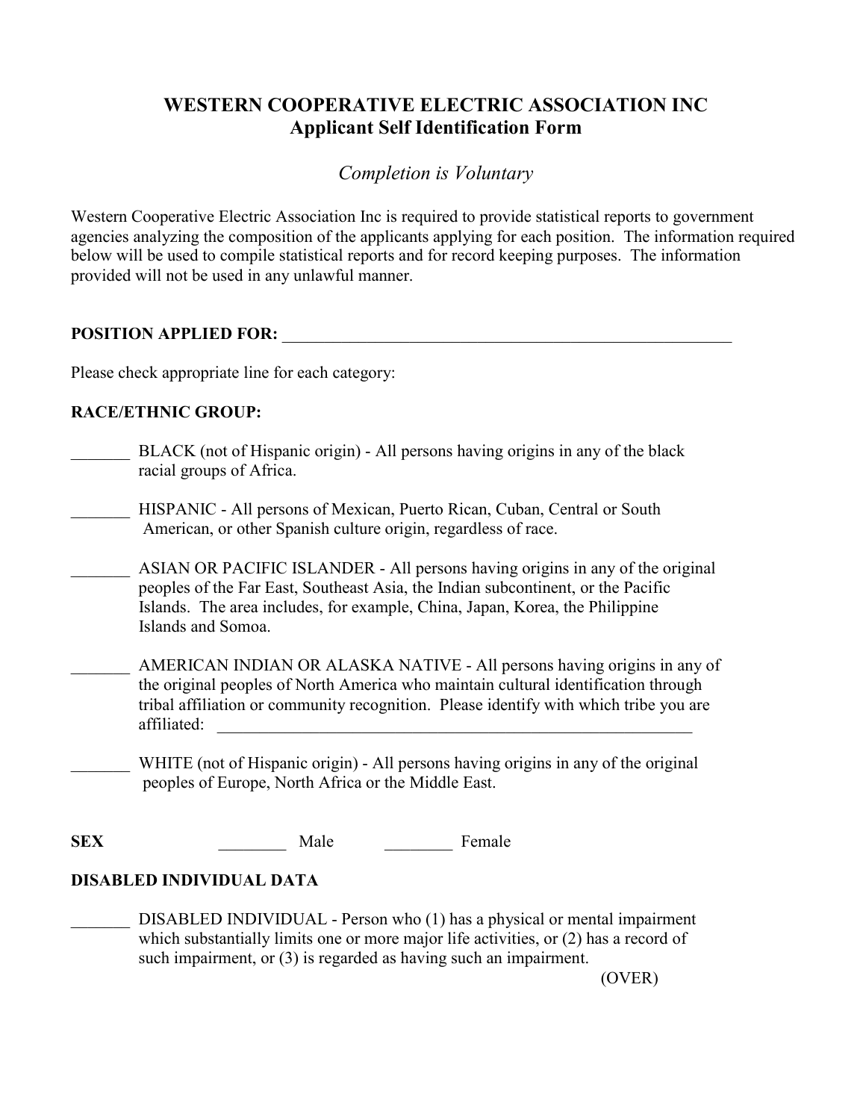# WESTERN COOPERATIVE ELECTRIC ASSOCIATION INC Applicant Self Identification Form

Completion is Voluntary

Western Cooperative Electric Association Inc is required to provide statistical reports to government agencies analyzing the composition of the applicants applying for each position. The information required below will be used to compile statistical reports and for record keeping purposes. The information provided will not be used in any unlawful manner.

#### POSITION APPLIED FOR: \_\_\_\_\_\_\_\_\_\_\_\_\_\_\_\_\_\_\_\_\_\_\_\_\_\_\_\_\_\_\_\_\_\_\_\_\_\_\_\_\_\_\_\_\_\_\_\_\_\_\_\_\_

Please check appropriate line for each category:

#### RACE/ETHNIC GROUP:

- \_\_\_\_\_\_\_ BLACK (not of Hispanic origin) All persons having origins in any of the black racial groups of Africa.
- \_\_\_\_\_\_\_ HISPANIC All persons of Mexican, Puerto Rican, Cuban, Central or South American, or other Spanish culture origin, regardless of race.
	- \_\_\_\_\_\_\_ ASIAN OR PACIFIC ISLANDER All persons having origins in any of the original peoples of the Far East, Southeast Asia, the Indian subcontinent, or the Pacific Islands. The area includes, for example, China, Japan, Korea, the Philippine Islands and Somoa.
- AMERICAN INDIAN OR ALASKA NATIVE All persons having origins in any of the original peoples of North America who maintain cultural identification through tribal affiliation or community recognition. Please identify with which tribe you are affiliated: \_\_\_\_\_\_\_\_\_\_\_\_\_\_\_\_\_\_\_\_\_\_\_\_\_\_\_\_\_\_\_\_\_\_\_\_\_\_\_\_\_\_\_\_\_\_\_\_\_\_\_\_\_\_\_\_

\_\_\_\_\_\_\_ WHITE (not of Hispanic origin) - All persons having origins in any of the original peoples of Europe, North Africa or the Middle East.

SEX Male Female

#### DISABLED INDIVIDUAL DATA

DISABLED INDIVIDUAL - Person who (1) has a physical or mental impairment which substantially limits one or more major life activities, or (2) has a record of such impairment, or  $(3)$  is regarded as having such an impairment.

(OVER)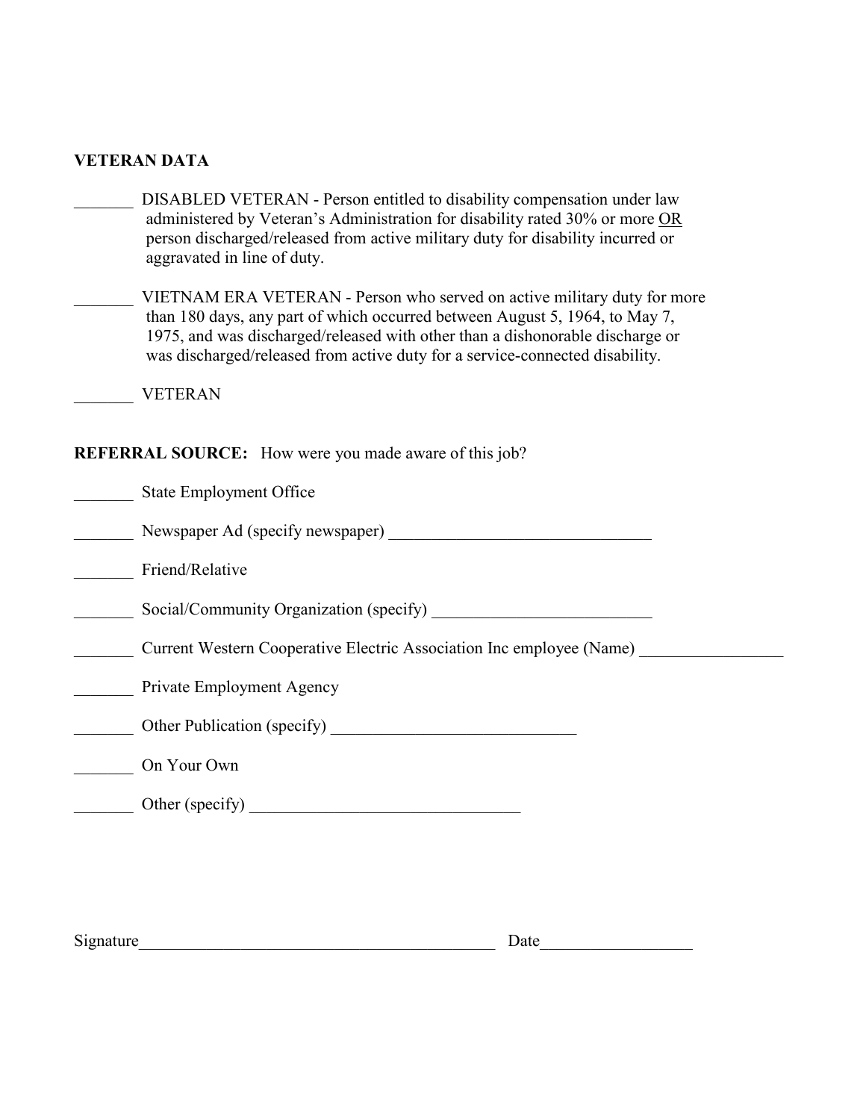#### VETERAN DATA

- DISABLED VETERAN Person entitled to disability compensation under law administered by Veteran's Administration for disability rated 30% or more OR person discharged/released from active military duty for disability incurred or aggravated in line of duty.
- VIETNAM ERA VETERAN Person who served on active military duty for more than 180 days, any part of which occurred between August 5, 1964, to May 7, 1975, and was discharged/released with other than a dishonorable discharge or was discharged/released from active duty for a service-connected disability.

\_\_\_\_\_\_\_ VETERAN

#### REFERRAL SOURCE: How were you made aware of this job?

| <b>State Employment Office</b>                                       |  |
|----------------------------------------------------------------------|--|
|                                                                      |  |
| Friend/Relative                                                      |  |
| Social/Community Organization (specify)                              |  |
| Current Western Cooperative Electric Association Inc employee (Name) |  |
| Private Employment Agency                                            |  |
|                                                                      |  |
| On Your Own                                                          |  |
|                                                                      |  |
|                                                                      |  |

Signature\_\_\_\_\_\_\_\_\_\_\_\_\_\_\_\_\_\_\_\_\_\_\_\_\_\_\_\_\_\_\_\_\_\_\_\_\_\_\_\_\_\_ Date\_\_\_\_\_\_\_\_\_\_\_\_\_\_\_\_\_\_

| Date |
|------|
|------|